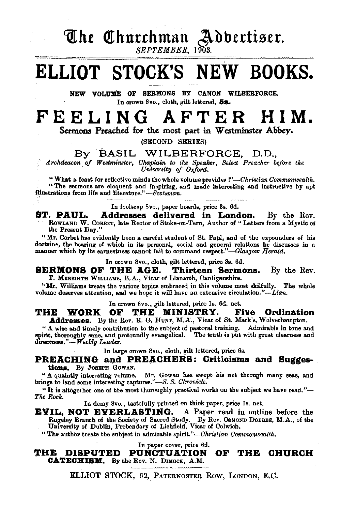## The Churchman Adbertiser.

SEPTEMBER, 1903.

# **ELLIOT STOCK'S NEW BOOKS.**

NEW VOLUME OF SERMONS BY CANON WILBERFORCE. In crown 8vo., cloth, gilt lettered, 5s.

# **FEELING AFTER HIM.**

Sermons Preached for the most part in Westminster Abbey.

(SECOND SERIES)

#### By BASIL WILBERFORCE, D.D.,

*Archdeacon.* of *We&tmi118ter, Chaplain to the Speaker,* Select *Preacher before the Univer8ity of Oxford,.* 

" What a feast for reflective minds the whole volume provides !"--Christian Commonwealth. "The sermons are eloquent and inspiring, and made interesting and instructive by apt fliustrations from life and literature."-Scotsman.

In foolscap 8vo., paper boards, price Ss. 6d.

ST. PAUL. Addresses delivered in London. By the Rev. RowLAND W. CORBET, late Rector of Stoke-on-Tern, Author of "Letters from a Mystic of the Present Day."

"Mr. Corbet bas evidently been a careful student of St. Paul, and of the expounders of his doctrine, the bearing of which in its personal, social and general relations be discusses in a manner which by its earnestness cannot fail to command respect."-Glasgow Herald.

In crown 8vo., cloth, gilt lettered, price Ss. 6d.

SERMONS OF THE AGE. Thirteen Sermons. By the Rev. T. MEREDITH WILLIAMS, B.A., Vicar of Llanarth, Cardiganshire.

''Mr. Williams treats the various topics embraced in this volume most skilfully. The whole volume deserves attention, and we hope it will have an extensive circulation." $-Llan$ .

In crown 8 vo., gilt lettered, price Is. 6d. net.

THE WORK OF THE MINISTRY. Five Ordination Addresses. By the Rev. R. G. HUNT, M.A:, Vicar of St. Mark's, Wolverhampton.

" A wise and timely contribution to the subject of pastoral training. Admirable in tone and spirit, thoroughly sane, and profoundly evangelical. The truth is put with great clearness and directness."- Weekly Leader.

In large crown 8vo., cloth, gilt lettered, price 6s.

#### PREACHING and PREACHERS: Criticisms and Suggestions. By JOSEPH GOWAN.

"A quaintly interesting volume. Mr. Gowan has swept his net through many seas, and brings to land some interesting captures."--S. S. Chronicle.

"It is altogether one of the most thoroughly practical works on the subject we have read." $-$ *'l'he* Rock.

In demy 8vo., tastefully printed on thick paper, price Is. net.

EVIL, NOT EVERLASTING. A Paper read in outline before the Rugeley Branch of the Society of Sacred Study. By Rev. OsMOND DOBREE, M.A., of the University of Dublin, Prebendary of Lichfield, Vicar of Colwich.

" The author treats the subject in admirable spirit."-Christian Commonwealth.

In paper cover, price 6d.

## THE DISPUTED PUNCTUATION OF THE CHURCH **CATECHISM**, By the Rev. N. DIMOCK, A.M.

ELLIOT STOCK, 62, PATERNOSTER Row, LoNDON, E.O.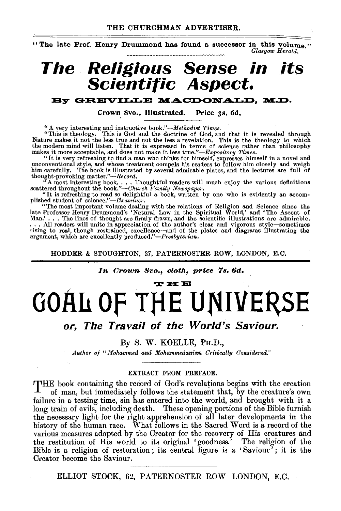" The late Prof. Henry Drummond has found a successor in this volume." *Glasgow Hemld.* 

### **The Religious Sense in Scientific Aspect. its**

#### **EV GREVILLE MACDONALD. M.D.**

Crown. Svo., Illustrated. Price as. 6d,

" A very interesting and instructive book."—Methodist Times.<br>"This is theology. This is God and the doctrine of God, and that it is revealed through<br>Nature makes it not the less true and not the less a revelation. This is

"It is very refreshing to find a man who thinks for himself, expresses himself in a novel and unconventional style, and whose treatment compels his readers to follow him closely and weigh him carefully. The book is illustr

thought-provoking matter."—Record.<br>"A most interesting book....Thoughtful readers will much enjoy the various definitions<br>scattered throughout the book."—Church Family Newspaper.<br>"It is refreshing to read so delightful a b

"The most important volume dealing with the relations of Religion and Science since the late Professor Henry Drummond's 'Natural Law in the Spiritual World,' and 'The Ascent of late Professor Henry Drummond's 'Natural Law in the Spiritual World,' and 'The Ascent of Man.'... The lines of thought are firmly drawn, and the scientific illustrations are admirable.<br>... All readers will unite in appreci

HODDER & STOUGHTON, 27, PATERNOSTER ROW, LONDON, E.C.

*In Crown 8vo., cloth, price 'ts. 6d.* 

# **THE GOAL OF THE UNIVERSE**

**or, The Travail of the World's Saviour.** 

#### By S. W. KOELLE, PH.D.,

*.Author of "Mohammed and Mohammedanism Critically Considered."* 

#### EXTRACT FROM PREFACE.

THE book containing the record of God's revelations begins with the creation of man, but immediately follows the statement that, by the creature's own failure in a testing time, sin has entered into the world, and brought with it a long train of evils, including death. These opening portions of the Bible furnish the necessary light for the right apprehension of all later developments in the history of the human race. What follows in the Sacred Word is a record of the various measures adopted by the Creator for the recovery of His creatures and the restitution of His world to its original 'goodness.' The religion of the Bible is a religion of restoration; its central figure is a 'Saviour'; it is the Creator become the Saviour.

ELLIOT STOCK, 62, PATERNOSTER ROW LONDON, E.C.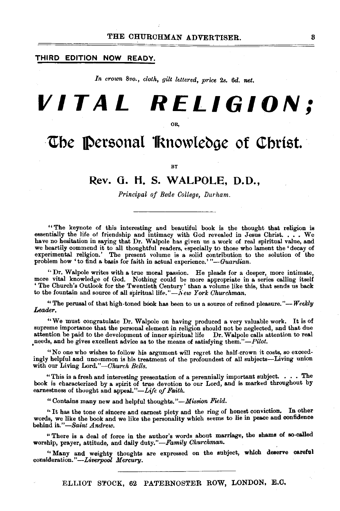#### THIRD EDITION NOW READY.

*In crown 8vo., cloth, gilt lettered, price* 28. *6d. net.* 

# **VITAL RELIGION;**

OR,

## **The Personal Rnowledge of Christ.**

**BY** 

### Rev. G. **H.** S. WALPOLE, D.D.,

*Principal of Bede College, Durham.* 

"The keynote of this interesting and beautiful book is the thought that religion is essentially the life of friendship and intimacy with God revealed in Jesus Christ .••• We have no hesitation in saying that Dr. Walpole bas given us a work of real spiritual value, and we heartily commend it to all thoughtful readers, especially to those who lament the 'decay of experimental religion.' The present volume is a solid contribution to the solution of the problem how 'to find a basis for faith in actual experience.'"-Guardian.

''Dr. Walpole writes with a true moral passion. He pleads for a deeper, more intimate, more vital knowledge of God. Nothing could be more appropriate in a series calling itself ' The Church's Outlook for the Twentieth Century' than a volume like this, that sends us back to the fountain and source of all spiritual life." $-\tilde{N}ew$  *York Churchman.* 

"The perusal of that bigh.toned book bas been to us a source of refined pleasure."- *Weekly Leader,* 

"We must congratulate Dr. Walpole on having produced a very valuable work. It is of supreme importance that the personal element in religion should not be neglected, and that due attention be paid to the development of inner spiritual life Dr. Walpole calls attention to real needs, and he gives excellent advice as to the means of satisfying them."-Pilot.

"No one who wishes to follow his argument will regret the half.crown it costs, so exceed· ingly helpful and uncommon is his treatment of the profoundest of all subjects-Living union with our Living Lord."-Church Bells.

"This is a fresh and interesting presentation of a perennially important subject. • . . The book is characterized by a spirit of true devotion to our Lord, and is marked throughout by earnestness of thought and appeal."-Life of Faith.

"Contains many new and helpful thoughts."-Mission *Field.* 

" It has the tone of sincere and earnest piety and the ring of honest conviction. In other words, we like the book and we like the personality which seems to lie in peace and confidence behind *it."-Saint Andrew.* 

"There is a deal of force in the author's words about marriage, the shams of so-called worship, prayer, attitude, and daily duty."-Family Churchman.

" Many and weighty thoughts are expressed on the subject, which deserve careful consideration."-Liveryool *Mercury.* 

ELLIOT STOCK, 62 PATERNOSTER ROW, LONDON, E.C.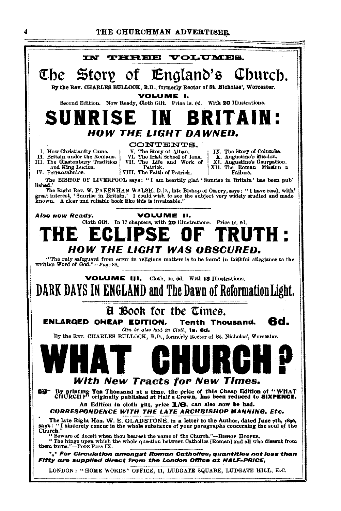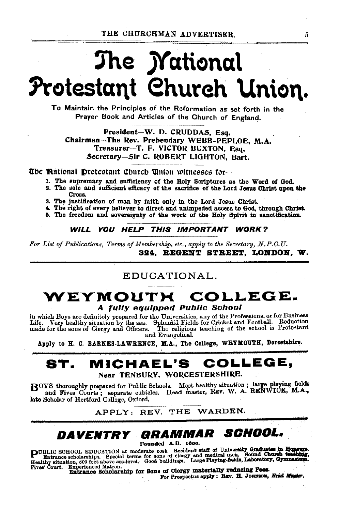# The *M*ational Protestant Church Union.

To Maintain the Principles of the Reformation as set forth in the Prayer Book and Articles of the Church of England.

President-W. D. CRUDDAS, Esq. Chairman-The Rev. Prebendary WEBB-PEPLOE, M.A. Treasurer-T. F. VICTOR BUXTON, Esq. Secretary-Sir C. ROBERT LIGHTON, Bart.

The Hational Protestant Church Union witnesses for-

- 1. The supremacy and sufficiency of the Holy Scriptures as the Word of God.
- 2. The sole and sufficient efficacy of the sacrifice of the Lord Jesus Christ upon the Cross.
- 3. The justification of man by faith only in the Lord Jesus Christ.
- 4. The right of every believer to direct and unimpeded access to God, through Christ.
- 5. The freedom and sovereignty of the work of the Holy Spirit in sanctification.

#### WILL YOU HELP THIS IMPORTANT WORK?

For List of Publications, Terms of Membership, etc., apply to the Secretary, N.P.C.U. 324, REGENT STREET, LONDON, W.

#### EDUCATIONAL.

### WEYMOUTH COLLEGE. A fully equipped Public School

in which Boys are definitely prepared for the Universities, any of the Professions, or for Business Life. Very healthy situation by the sea. Splendid Fields for Cricket and Football. Reduction made for the sons of Clergy and Officers. The religious teaching of the school is Protestant and Evangelical.

Apply to H. C. BARNES-LAWRENCE, M.A., The College, WEYMOUTH, Dorsetshire.

#### COLLEGE. MICHAEL'S ST. Near TENBURY, WORCESTERSHIRE.

ROYS thoroughly prepared for Public Schools. Most healthy situation; large playing fields and Fives Courts; separate cubicles. Head master, REV. W. A. RENWICK, M.A., late Scholar of Hertford College, Oxford.

> APPLY: REV. THE WARDEN.

## DAVENTRY GRAMMAR SCHOOL.

Founded A.D. 1600.

DUBLIC SCHOOL EDUCATION at moderation staff of University Graduates in Honourse Entrance scholarships. Special terms for sons of clargy and medical men. Sonnd Church teaching<br>Healthy situation, 800 feet above sea-level. Go

Entrance Scholarship for Sons of Clergy materially reducing Pees. For Prospectus apply : REV. H. JOHNSON, Head Master.

5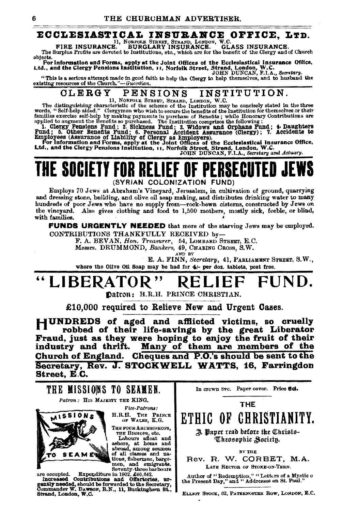#### ECCLESIASTICAL INSURANCE OFFICE. LTD.

11, NORFOLE STREET, STRAND, LONDON, W.C.<br>3. BURGLARY INSURANCE. GL. FIRE INSURANCE. **GLASS INSURANCE.** 

The Surplus Profits are devoted to Institutions, etc., which are for the bonefit of the Clergy and of Church objects.

For Information and Forms, apply at the Joint Offices of the Ecclesiastical Insurance Office,<br>Ltd., and the Clergy Pensions Institution, 11, Norfolk Street, Strand, London, W.C.<br>JOHN DUNCAN, F.I.A., Secretary.

"This is a serious attempt made in good faith to help the Clergy to help themselves, and to husband the existing resources of the Church."-Guardian.

#### INSTITUTION. PENSIONS CLERGY

The distinguishing characteristic of the scheme of the Institution may be concisely stated in the three<br>words, "Self-help aided." Clergymen who wish to secure the benefits of the Institution for themselves or their<br>words,

words, "Self-belp aided." Clergymen who wish to secure the benefits of the Institution for the<br>millies exercise self-help by making payments in purchased. The Institution comprises the following :<br>applied to augment the Be

### THE SOCIETY FOR RELIEF (SYRIAN COLONIZATION FUND)

Employs 70 Jews at Abraham's Vineyard, Jerusalem, in cultivation of ground, quarrying and dressing stone, building, and olive oil soap making, and distributes drinking water to many hundreds of poor Jews who have no supply from-rock-hewn cisterns, constructed by Jews on the vineyard. Also gives clothing and food to 1,500 mothers, mostly sick, feeble, or blind, with families.

FUNDS URGENTLY NEEDED that more of the starving Jews may be employed. CONTRIBUTIONS THANKFULLY RECEIVED by-

F. A. BEVAN, Hon. Treasurer, 54, LOMBARD STREET, E.C. Mesers. DRUMMOND, Bankers, 49, CHABING CROSS, S.W.

and<sup>í</sup> by E. A. FINN, Secretary, 41, PARLIAMENT STREET, S.W., where the Olive Oil Soap may be had for 4/- per doz. tablets, post free.

#### $, ,$ LIBERATOR FUND. REI

Datron: H.R.H. PRINCE CHRISTIAN.

£10,000 required to Relieve New and Urgent Cases.

HUNDREDS of aged and afflicted victims, so cruelly robbed of their life-savings by the great Liberator Fraud, just as they were hoping to enjoy the fruit of their industry and thrift. Many of them are members of the Church of England. Cheques and P.O.'s should be sent to the Secretary, Rev. J. STOCKWELL WATTS, 16, Farringdon Street. E.C.



Strand, London, W.C.

In crown 8vo. Paper cover. Price 6d. **THE** ETHIC OF CHRISTIANITY. A Paper read before the Christo-Theosophic Society. BY THE Rev. R. W. CORBET, M.A. LATE RECTOR OF STOKE-ON-TERN.

Author of "Redemption," "Letture of a Mystic of the Present Day," and "Addresses on St. Paul."

ELLIOT STOCK, 62, PATERNOSTER ROW, LONDON, E.C.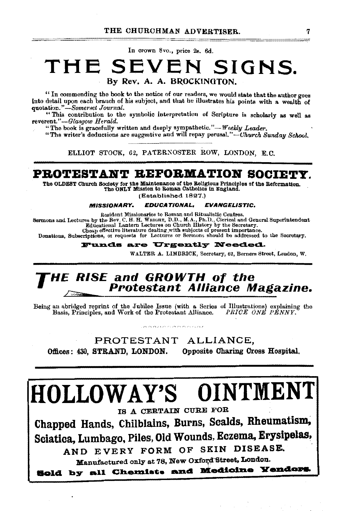In crown 8vo., price 2s. 6d.

## THE SEVEN SIGNS. By Rev. A. A. BROCKINGTON.

"In commending the book to the notice of our readers, we would state that the author goes into detail upon each branch of his subject, and that he illustrates his points with a wealth of quotation."-Somerset Journal.

"This contribution to the symbolic interpretation of Scripture is scholarly as well as reverent."-Glasgow Herald.

"The book is gracefully written and deeply sympathetic."-Weekly Leader.

"The writer's deductions are suggestive and will repay perusal."—Church Sunday School.

ELLIOT STOCK, 62, PATERNOSTER ROW, LONDON, E.C.

#### PROTESTANT REFORMATION SOCIETY.

The OLDEST Church Society for the Maintenance of the Religious Principles of the Reformation.<br>The ONLY Mission to Roman Catholics in England.

(Established 1827.)

#### **EDUCATIONAL,** EVANGELISTIC. **MISSIONARY.**

Resident Missionaries to Roman and Ritualistic Centres.

Sermons and Lectures by the Rev. C. H. H. WRIGHT, D.D., M.A., Ph.D., Clerical and General Superintendent<br>Educational Lantern Lectures on Church History by the Secretary.

Cheap effective literature dealing with subjects of present importance.

Donations, Subscriptions, or requests for Lectures or Sermons should be addressed to the Secretary.

#### **Funds are Urgently Needed.**

WALTER A. LIMBRICK, Secretary, 62, Berners Street, London, W.

# $H$ E RISE and GROWTH of the<br>Protestant Alliance Magazine.

Being an abridged reprint of the Jubilee Issue (with a Series of Illustrations) explaining the Basis, Principles, and Work of the Protestant Alliance. PRICE ONE PENNY.

<u>2010 - 2010 - 2020 - 2020 - 2020 - 2020 - 2020 - 2020 - 2020 - 2020 - 2020 - 2020 - 2020 - 2020 - 2020 - 2020 - 2020 - 2020 - 2020 - 2020 - 2020 - 2020 - 2020 - 2020 - 2020 - 2020 - 2020 - 2020 - 2020 - 2020 - 2020 - 2020</u>

PROTESTANT ALLIANCE, Offices: 430, STRAND, LONDON. Opposite Charing Cross Hospital.



7